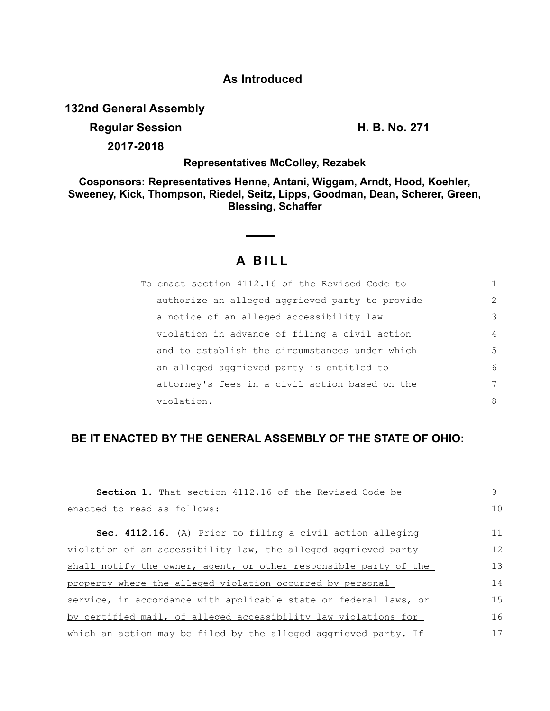#### **As Introduced**

**132nd General Assembly**

# **Regular Session H. B. No. 271**

**2017-2018**

#### **Representatives McColley, Rezabek**

**Cosponsors: Representatives Henne, Antani, Wiggam, Arndt, Hood, Koehler, Sweeney, Kick, Thompson, Riedel, Seitz, Lipps, Goodman, Dean, Scherer, Green, Blessing, Schaffer**

## **A BILL**

| To enact section 4112.16 of the Revised Code to |               |
|-------------------------------------------------|---------------|
| authorize an alleged aggrieved party to provide | $\mathcal{L}$ |
| a notice of an alleged accessibility law        | 3             |
| violation in advance of filing a civil action   | 4             |
| and to establish the circumstances under which  | 5             |
| an alleged aggrieved party is entitled to       | 6             |
| attorney's fees in a civil action based on the  | 7             |
| violation.                                      | 8             |

### **BE IT ENACTED BY THE GENERAL ASSEMBLY OF THE STATE OF OHIO:**

| <b>Section 1.</b> That section 4112.16 of the Revised Code be    | 9   |
|------------------------------------------------------------------|-----|
| enacted to read as follows:                                      | 10  |
| Sec. 4112.16. (A) Prior to filing a civil action alleging        | 11  |
| violation of an accessibility law, the alleged aggrieved party   | 12  |
| shall notify the owner, agent, or other responsible party of the | 13  |
| property where the alleged violation occurred by personal        | 14  |
| service, in accordance with applicable state or federal laws, or | 1.5 |
| by certified mail, of alleged accessibility law violations for   | 16  |
| which an action may be filed by the alleged aggrieved party. If  | 17  |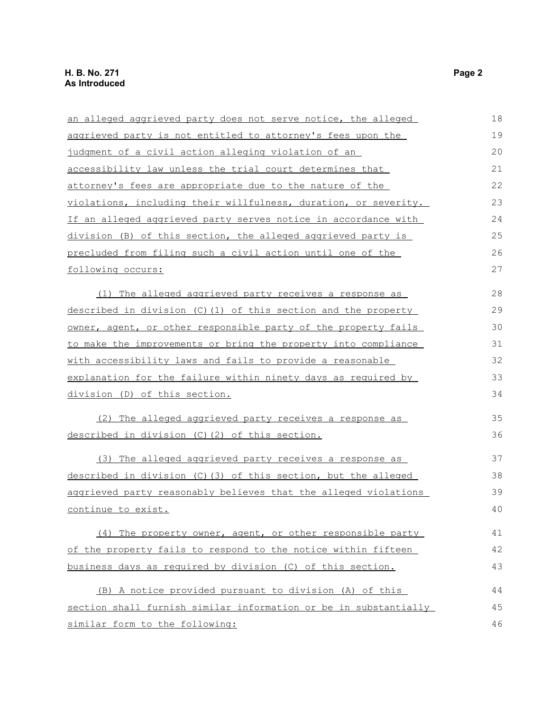| an alleged aggrieved party does not serve notice, the alleged         | 18 |
|-----------------------------------------------------------------------|----|
| aggrieved party is not entitled to attorney's fees upon the           | 19 |
| judgment of a civil action alleging violation of an                   | 20 |
| accessibility law unless the trial court determines that              | 21 |
| attorney's fees are appropriate due to the nature of the              | 22 |
| violations, including their willfulness, duration, or severity.       | 23 |
| <u>If an alleged aggrieved party serves notice in accordance with</u> | 24 |
| division (B) of this section, the alleged aggrieved party is          | 25 |
| precluded from filing such a civil action until one of the            | 26 |
| following occurs:                                                     | 27 |
| (1) The alleged aggrieved party receives a response as                | 28 |
| described in division (C)(1) of this section and the property         | 29 |
| owner, agent, or other responsible party of the property fails        | 30 |
| <u>to make the improvements or bring the property into compliance</u> | 31 |
| with accessibility laws and fails to provide a reasonable             | 32 |
| explanation for the failure within ninety days as required by         | 33 |
| division (D) of this section.                                         | 34 |
| (2) The alleged aggrieved party receives a response as                | 35 |
| described in division (C)(2) of this section.                         | 36 |
| (3) The alleged aggrieved party receives a response as                | 37 |
| described in division (C) (3) of this section, but the alleged        | 38 |
| aggrieved party reasonably believes that the alleged violations       | 39 |
| continue to exist.                                                    | 40 |
| (4) The property owner, agent, or other responsible party             | 41 |
| of the property fails to respond to the notice within fifteen         | 42 |
| business days as required by division (C) of this section.            | 43 |
| (B) A notice provided pursuant to division (A) of this                | 44 |
| section shall furnish similar information or be in substantially      | 45 |
| similar form to the following:                                        | 46 |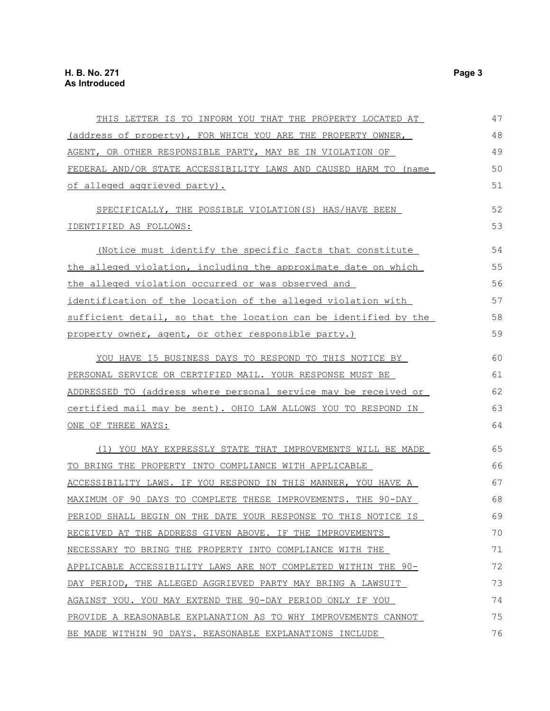| THIS LETTER IS TO INFORM YOU THAT THE PROPERTY LOCATED AT        | 47 |
|------------------------------------------------------------------|----|
| (address of property), FOR WHICH YOU ARE THE PROPERTY OWNER,     | 48 |
| AGENT, OR OTHER RESPONSIBLE PARTY, MAY BE IN VIOLATION OF        | 49 |
| FEDERAL AND/OR STATE ACCESSIBILITY LAWS AND CAUSED HARM TO (name | 50 |
| of alleged aggrieved party).                                     | 51 |
| SPECIFICALLY, THE POSSIBLE VIOLATION(S) HAS/HAVE BEEN            | 52 |
| IDENTIFIED AS FOLLOWS:                                           | 53 |
| (Notice must identify the specific facts that constitute         | 54 |
| the alleged violation, including the approximate date on which   | 55 |
| the alleged violation occurred or was observed and               | 56 |
| identification of the location of the alleged violation with     | 57 |
| sufficient detail, so that the location can be identified by the | 58 |
| property owner, agent, or other responsible party.)              | 59 |
| YOU HAVE 15 BUSINESS DAYS TO RESPOND TO THIS NOTICE BY           | 60 |
| PERSONAL SERVICE OR CERTIFIED MAIL. YOUR RESPONSE MUST BE        | 61 |
| ADDRESSED TO (address where personal service may be received or  | 62 |
| certified mail may be sent). OHIO LAW ALLOWS YOU TO RESPOND IN   | 63 |
| ONE OF THREE WAYS:                                               | 64 |
| (1) YOU MAY EXPRESSLY STATE THAT IMPROVEMENTS WILL BE MADE       | 65 |
| TO BRING THE PROPERTY INTO COMPLIANCE WITH APPLICABLE            | 66 |
| ACCESSIBILITY LAWS. IF YOU RESPOND IN THIS MANNER, YOU HAVE A    | 67 |
| MAXIMUM OF 90 DAYS TO COMPLETE THESE IMPROVEMENTS. THE 90-DAY    | 68 |
| PERIOD SHALL BEGIN ON THE DATE YOUR RESPONSE TO THIS NOTICE IS   | 69 |
| RECEIVED AT THE ADDRESS GIVEN ABOVE. IF THE IMPROVEMENTS         | 70 |
| NECESSARY TO BRING THE PROPERTY INTO COMPLIANCE WITH THE         | 71 |
| APPLICABLE ACCESSIBILITY LAWS ARE NOT COMPLETED WITHIN THE 90-   | 72 |
| DAY PERIOD, THE ALLEGED AGGRIEVED PARTY MAY BRING A LAWSUIT      | 73 |
| AGAINST YOU. YOU MAY EXTEND THE 90-DAY PERIOD ONLY IF YOU        | 74 |
| PROVIDE A REASONABLE EXPLANATION AS TO WHY IMPROVEMENTS CANNOT   | 75 |
| BE MADE WITHIN 90 DAYS. REASONABLE EXPLANATIONS INCLUDE          | 76 |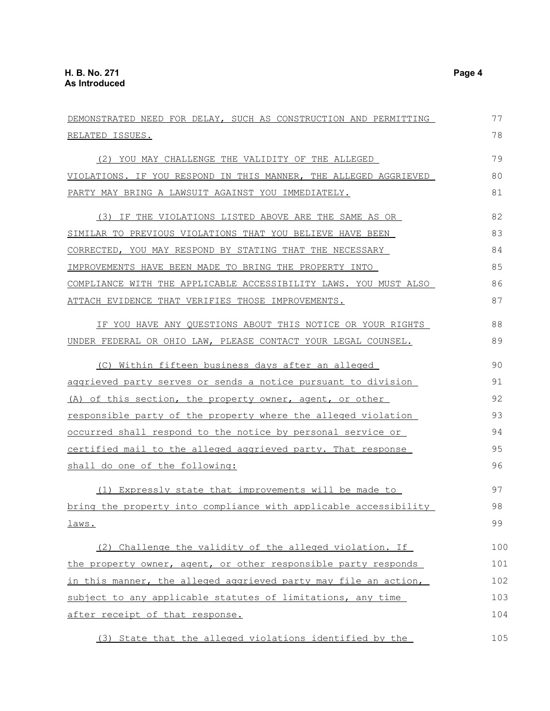| DEMONSTRATED NEED FOR DELAY, SUCH AS CONSTRUCTION AND PERMITTING | 77  |
|------------------------------------------------------------------|-----|
| RELATED ISSUES.                                                  | 78  |
| (2) YOU MAY CHALLENGE THE VALIDITY OF THE ALLEGED                | 79  |
| VIOLATIONS. IF YOU RESPOND IN THIS MANNER, THE ALLEGED AGGRIEVED | 80  |
| PARTY MAY BRING A LAWSUIT AGAINST YOU IMMEDIATELY.               | 81  |
| (3) IF THE VIOLATIONS LISTED ABOVE ARE THE SAME AS OR            | 82  |
| SIMILAR TO PREVIOUS VIOLATIONS THAT YOU BELIEVE HAVE BEEN        | 83  |
| CORRECTED, YOU MAY RESPOND BY STATING THAT THE NECESSARY         | 84  |
| IMPROVEMENTS HAVE BEEN MADE TO BRING THE PROPERTY INTO           | 85  |
| COMPLIANCE WITH THE APPLICABLE ACCESSIBILITY LAWS. YOU MUST ALSO | 86  |
| ATTACH EVIDENCE THAT VERIFIES THOSE IMPROVEMENTS.                | 87  |
| IF YOU HAVE ANY QUESTIONS ABOUT THIS NOTICE OR YOUR RIGHTS       | 88  |
| UNDER FEDERAL OR OHIO LAW, PLEASE CONTACT YOUR LEGAL COUNSEL.    | 89  |
| (C) Within fifteen business days after an alleged                | 90  |
| aggrieved party serves or sends a notice pursuant to division    | 91  |
| (A) of this section, the property owner, agent, or other         | 92  |
| responsible party of the property where the alleged violation    | 93  |
| occurred shall respond to the notice by personal service or      | 94  |
| certified mail to the alleged aggrieved party. That response     | 95  |
| shall do one of the following:                                   | 96  |
| (1) Expressly state that improvements will be made to            | 97  |
| bring the property into compliance with applicable accessibility | 98  |
| laws.                                                            | 99  |
| (2) Challenge the validity of the alleged violation. If          | 100 |
| the property owner, agent, or other responsible party responds   | 101 |
| in this manner, the alleged aggrieved party may file an action,  | 102 |
| subject to any applicable statutes of limitations, any time      | 103 |
| after receipt of that response.                                  | 104 |
| (3) State that the alleged violations identified by the          | 105 |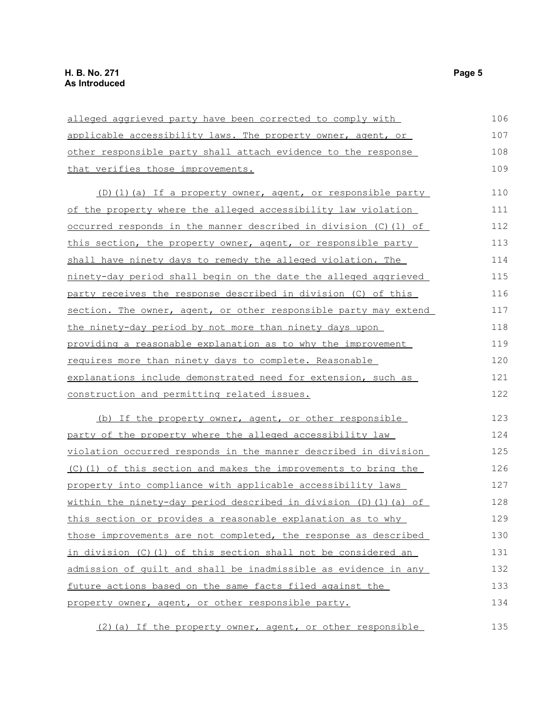| alleged aggrieved party have been corrected to comply with          | 106 |
|---------------------------------------------------------------------|-----|
| applicable accessibility laws. The property owner, agent, or        | 107 |
| other responsible party shall attach evidence to the response       | 108 |
| that verifies those improvements.                                   | 109 |
| (D)(1)(a) If a property owner, agent, or responsible party          | 110 |
| of the property where the alleged accessibility law violation       | 111 |
| occurred responds in the manner described in division (C)(1) of     | 112 |
| this section, the property owner, agent, or responsible party       | 113 |
| shall have ninety days to remedy the alleged violation. The         | 114 |
| ninety-day period shall begin on the date the alleged aggrieved     | 115 |
| party receives the response described in division (C) of this       | 116 |
| section. The owner, agent, or other responsible party may extend    | 117 |
| <u>the ninety-day period by not more than ninety days upon</u>      | 118 |
| providing a reasonable explanation as to why the improvement        | 119 |
| requires more than ninety days to complete. Reasonable              | 120 |
| explanations include demonstrated need for extension, such as       | 121 |
| construction and permitting related issues.                         | 122 |
| (b) If the property owner, agent, or other responsible              | 123 |
| party of the property where the alleged accessibility law           | 124 |
| violation occurred responds in the manner described in division     | 125 |
| (C)(1) of this section and makes the improvements to bring the      | 126 |
| property into compliance with applicable accessibility laws         | 127 |
| within the ninety-day period described in division $(D) (1) (a)$ of | 128 |
| this section or provides a reasonable explanation as to why         | 129 |
| those improvements are not completed, the response as described     | 130 |
| in division (C)(1) of this section shall not be considered an       | 131 |
| admission of quilt and shall be inadmissible as evidence in any     | 132 |
| future actions based on the same facts filed against the            | 133 |
| property owner, agent, or other responsible party.                  | 134 |
| (2) (a) If the property owner, agent, or other responsible          | 135 |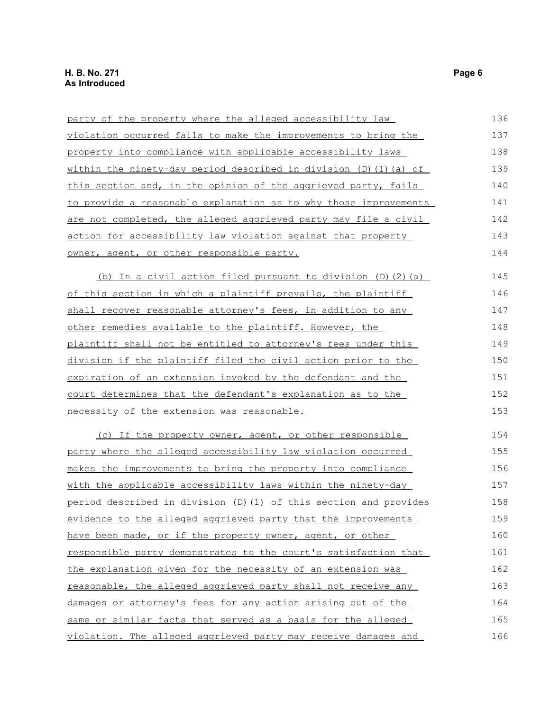| party of the property where the alleged accessibility law               | 136 |
|-------------------------------------------------------------------------|-----|
| violation occurred fails to make the improvements to bring the          | 137 |
| property into compliance with applicable accessibility laws             | 138 |
| within the ninety-day period described in division $(D)$ $(1)$ $(a)$ of | 139 |
| this section and, in the opinion of the aggrieved party, fails          | 140 |
| to provide a reasonable explanation as to why those improvements        | 141 |
| are not completed, the alleged aggrieved party may file a civil         | 142 |
| action for accessibility law violation against that property            | 143 |
| owner, agent, or other responsible party.                               | 144 |
| (b) In a civil action filed pursuant to division (D) (2) (a)            | 145 |
| of this section in which a plaintiff prevails, the plaintiff            | 146 |
| shall recover reasonable attorney's fees, in addition to any            | 147 |
| other remedies available to the plaintiff. However, the                 | 148 |
| plaintiff shall not be entitled to attorney's fees under this           | 149 |
| division if the plaintiff filed the civil action prior to the           | 150 |
| expiration of an extension invoked by the defendant and the             | 151 |
| court determines that the defendant's explanation as to the             | 152 |
| necessity of the extension was reasonable.                              | 153 |
| (c) If the property owner, agent, or other responsible                  | 154 |
| party where the alleged accessibility law violation occurred            | 155 |
| makes the improvements to bring the property into compliance            | 156 |
| with the applicable accessibility laws within the ninety-day            | 157 |
| period described in division (D)(1) of this section and provides        | 158 |
| evidence to the alleged aggrieved party that the improvements           | 159 |
| have been made, or if the property owner, agent, or other               | 160 |
| responsible party demonstrates to the court's satisfaction that         | 161 |
| the explanation given for the necessity of an extension was             | 162 |
| reasonable, the alleged aggrieved party shall not receive any           | 163 |
| damages or attorney's fees for any action arising out of the            | 164 |
| same or similar facts that served as a basis for the alleged            | 165 |
| violation. The alleged aggrieved party may receive damages and          | 166 |